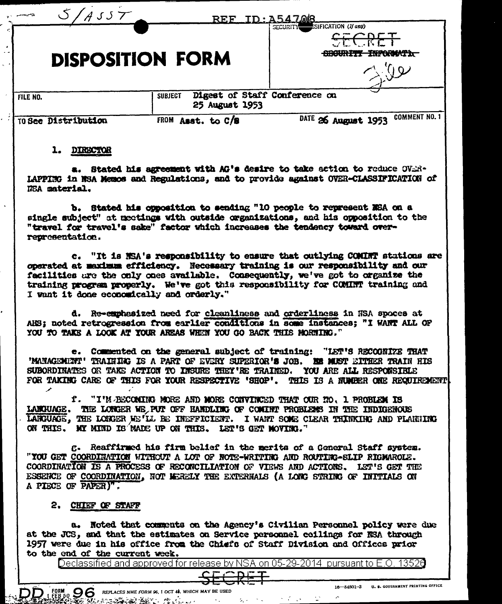|                            |                                  | <b>REF ID: A547.08</b>                      |
|----------------------------|----------------------------------|---------------------------------------------|
|                            | <b>DISPOSITION FORM</b>          | SIFICATION (If any)<br>SECURITY<br>र उद्यार |
| FILE NO.                   | <b>SUBJECT</b><br>25 August 1953 | Digest of Staff Conference on               |
| <b>TO See Distribution</b> | <b>FROM</b><br>Asst. to C/B      | <b>COMMENT NO. 1</b><br>DATE 26 August 1953 |

## 1. DIRECTOR

a. Stated his agreement with AG's desire to take action to reduce OVER-LAPPING in NSA Memos and Regulations, and to provide against OVER-CLASSIFICATION of NSA material.

b. Stated his opposition to sending "10 people to represent NSA on a single subject" at meetings with outside organizations, and his opposition to the "travel for travel's sake" factor which increases the tendency toward overrepresentation.

"It is NSA's responsibility to ensure that outlying COMINT stations are  $c_{\bullet}$ operated at maximum efficiency. Necessary training is our responsibility and our facilities are the only ones available. Consequently, we've got to organize the training program properly. We've got this responsibility for COMINT training and I want it done economically and orderly."

d. Re-emphasized need for cleanliness and orderliness in NSA spoces at AHS; noted retrogression from earlier conditions in some instances; "I WANT ALL OF YOU TO TAKE A LOOK AT YOUR AREAS WHEN YOU GO BACK THIS MORNING."

e. Commented on the general subject of training: "LET'S RECOGNIZE THAT 'MANAGEMENT' TRAINING IS A PART OF EVERY SUPERIOR'S JOB. HE MUST EITHER TRAIN HIS SUBORDINATES OR TAKE ACTION TO INSURE THEY'RE TRAINED. YOU ARE ALL RESPONSIBLE FOR TAKING CARE OF THIS FOR YOUR RESPECTIVE 'SHOP'. THIS IS A NUMBER ONE REQUIREMENT

f. "I'M BECOMING MORE AND MORE CONVINCED THAT OUR NO. 1 PROBLEM IS LANGUAGE. THE LONGER WE PUT OFF HANDLING OF COMINT PROBLEMS IN THE INDIGENOUS LARGUAGE, THE LORGER ME'LL BE INEFFICIENT. I WANT SOME CLEAR THINKING AND PLANNING ON THIS. MY MIND IS MADE UP ON THIS. LET'S GET MOVING."

g. Reaffirmed his firm belief in the merits of a General Staff system. "YOU GET COORDINATION WITHOUT A LOT OF NOTE-WRITING AND ROUTING-SLIP RIGMARGLE. COORDINATION IS A PROCESS OF RECONCILIATION OF VIEWS AND ACTIONS. LET'S GET THE ESSENCE OF COORDINATION, NOT MERELY THE EXTERNALS (A LONG STRING OF INITIALS ON A PIECE OF PAPER)".

## 2. CHIEF OF STAFF

**REPARTMENT AND REAL** 

FORM

DD

a. Noted that comments on the Agency's Civilian Personnel policy were due at the JCS, and that the estimates on Service personnel coilings for NSA through 1957 were due in his office from the Chiefs of Staff Division and Offices prior to the end of the current week.

Declassified and approved for release by NSA on 05-29-2014 pursuant to E.O.

RM **OO**REPLACES NME FORM S6, 1 OCT 48. WHICH MAY BE USED

 $\mathcal{C}^{\mathcal{C}}$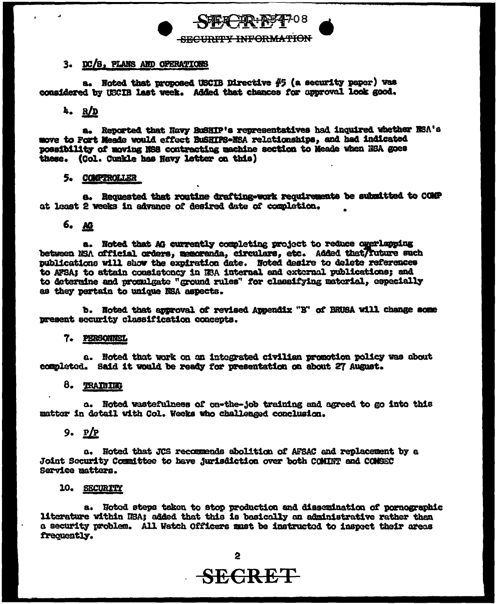### 3. DC/S, PLANS AND OPERATIONS

a. Noted that proposed USCIB Directive #5 (a security paper) vas considered by USCIB last week. Added that chances for approval look good.

# $4. R/D$

a. Reported that Navy BuSHIP's representatives had inquired whether NSA's move to Fort Meade would effect BuSHIPS-NSA relationships, and had indicated possibility of moving NSS contracting machine section to Meade when NSA goes these. (Col. Cunkle has Navy letter on this)

HCHR: NS4708

**SECURITY INFORMATION** 

#### **5. COMPTROLLER**

a. Requested that routine drafting-work requirements be submitted to COMP at least 2 weeks in advance of desired date of completion.

# 6. AG

a. Noted that AG currently completing project to reduce overlapping between NSA official orders, memoranda, circulars, etc. Added that/future such publications will show the expiration date. Noted desire to delete references to AFSA: to attain consistency in HSA internal and external publications; and to determine and promulgate "ground rules" for classifying material, especially as they pertain to unique NSA aspects.

b. Noted that approval of revised Appendix "B" of BRUSA will change some present security classification concepts.

## 7. PERSONNEL

a. Noted that work on an integrated civilian promotion policy was about completed. Said it would be ready for presentation on about 27 August.

#### 8. TRAINING

a. Noted wastefulness of on-the-job training and agreed to go into this matter in detail with Col. Weeks who challenged conclusion.

 $9. P/P$ 

a. Noted that JCS recommends abolition of AFSAC and replacement by a **Joint Security Committee to have jurisdiction over both COMINT and COMSEC** Service matters.

#### 10. SECURITY

a. Hoted steps taken to stop production and dissemination of pornographic literature within NSA; added that this is basically an administrative rather than a security problem. All Watch Officers must be instructed to inspect their areas frequently.